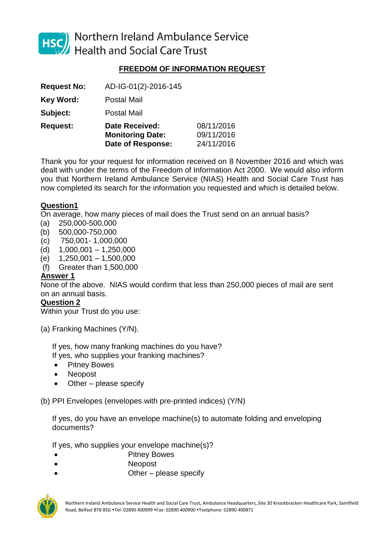

HSC Northern Ireland Ambulance Service<br>Health and Social Care Trust

# **FREEDOM OF INFORMATION REQUEST**

| <b>Request No:</b> | AD-IG-01(2)-2016-145                                                         |                                        |
|--------------------|------------------------------------------------------------------------------|----------------------------------------|
| <b>Key Word:</b>   | <b>Postal Mail</b>                                                           |                                        |
| Subject:           | <b>Postal Mail</b>                                                           |                                        |
| <b>Request:</b>    | <b>Date Received:</b><br><b>Monitoring Date:</b><br><b>Date of Response:</b> | 08/11/2016<br>09/11/2016<br>24/11/2016 |

Thank you for your request for information received on 8 November 2016 and which was dealt with under the terms of the Freedom of Information Act 2000. We would also inform you that Northern Ireland Ambulance Service (NIAS) Health and Social Care Trust has now completed its search for the information you requested and which is detailed below.

# **Question1**

On average, how many pieces of mail does the Trust send on an annual basis?

- (a) 250,000-500,000
- (b) 500,000-750,000
- (c) 750,001- 1,000,000
- $(d)$  1,000,001 1,250,000
- $(e)$  1,250,001 1,500,000
- (f) Greater than 1,500,000

# **Answer 1**

None of the above. NIAS would confirm that less than 250,000 pieces of mail are sent on an annual basis.

# **Question 2**

Within your Trust do you use:

(a) Franking Machines (Y/N).

If yes, how many franking machines do you have? If yes, who supplies your franking machines?

- Pitney Bowes
- Neopost
- Other please specify

(b) PPI Envelopes (envelopes with pre-printed indices) (Y/N)

If yes, do you have an envelope machine(s) to automate folding and enveloping documents?

If yes, who supplies your envelope machine(s)?

- Pitney Bowes
- Neopost
- Other please specify

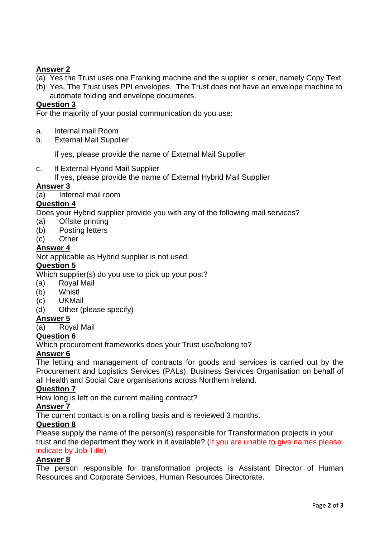# **Answer 2**

- (a) Yes the Trust uses one Franking machine and the supplier is other, namely Copy Text.
- (b) Yes, The Trust uses PPI envelopes. The Trust does not have an envelope machine to automate folding and envelope documents.

# **Question 3**

For the majority of your postal communication do you use:

- a. Internal mail Room
- b. External Mail Supplier

If yes, please provide the name of External Mail Supplier

c. If External Hybrid Mail Supplier

If yes, please provide the name of External Hybrid Mail Supplier

# **Answer 3**

(a) Internal mail room

# **Question 4**

Does your Hybrid supplier provide you with any of the following mail services?

- (a) Offsite printing
- (b) Posting letters
- (c) Other

# **Answer 4**

Not applicable as Hybrid supplier is not used.

### **Question 5**

Which supplier(s) do you use to pick up your post?

- (a) Royal Mail
- (b) Whistl
- (c) UKMail
- (d) Other (please specify)

# **Answer 5**

(a) Royal Mail

# **Question 6**

Which procurement frameworks does your Trust use/belong to?

# **Answer 6**

The letting and management of contracts for goods and services is carried out by the Procurement and Logistics Services (PALs), Business Services Organisation on behalf of all Health and Social Care organisations across Northern Ireland.

# **Question 7**

How long is left on the current mailing contract?

# **Answer 7**

The current contact is on a rolling basis and is reviewed 3 months.

# **Question 8**

Please supply the name of the person(s) responsible for Transformation projects in your trust and the department they work in if available? (If you are unable to give names please indicate by Job Title)

#### **Answer 8**

The person responsible for transformation projects is Assistant Director of Human Resources and Corporate Services, Human Resources Directorate.